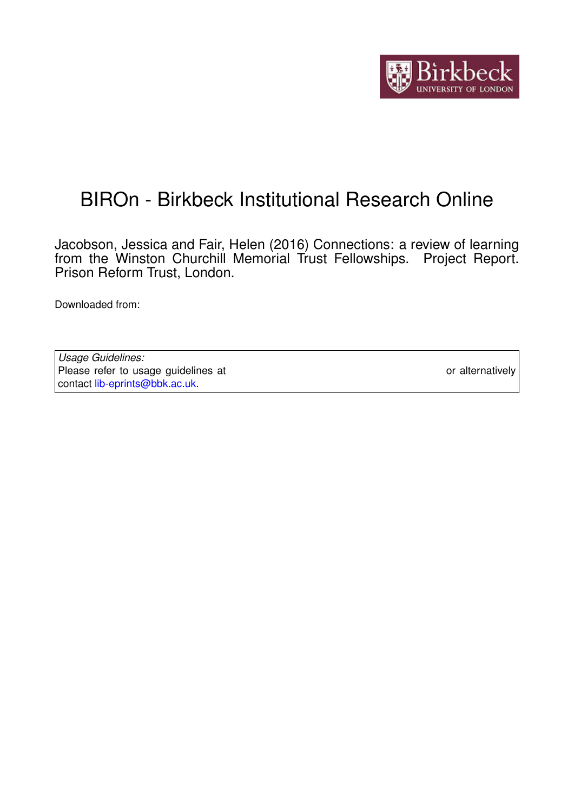

# BIROn - Birkbeck Institutional Research Online

Jacobson, Jessica and Fair, Helen (2016) Connections: a review of learning from the Winston Churchill Memorial Trust Fellowships. Project Report. Prison Reform Trust, London.

Downloaded from: <https://eprints.bbk.ac.uk/id/eprint/16186/>

*Usage Guidelines:* Please refer to usage guidelines at <https://eprints.bbk.ac.uk/policies.html> or alternatively contact [lib-eprints@bbk.ac.uk.](mailto:lib-eprints@bbk.ac.uk)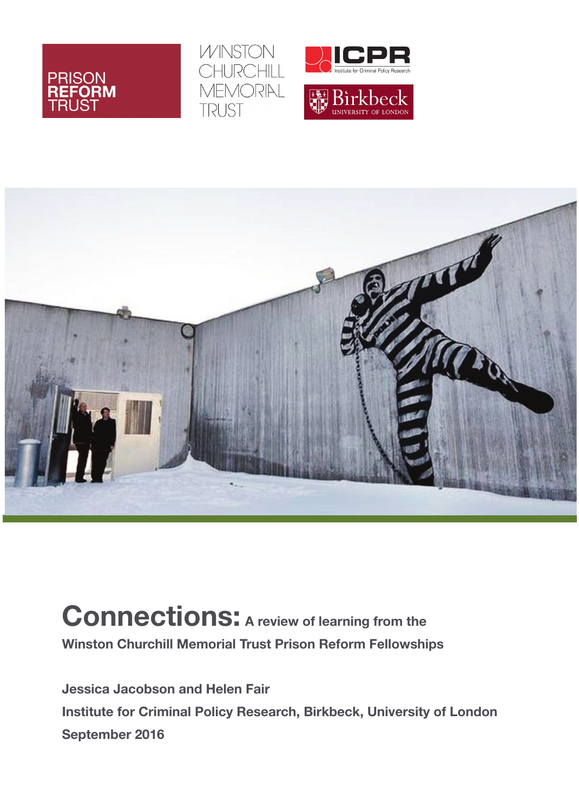







**Connections: <sup>A</sup> review of learning from the Winston Churchill Memorial Trust Prison Reform Fellowships**

**Jessica Jacobson and Helen Fair Institute for Criminal Policy Research, Birkbeck, University of London September 2016**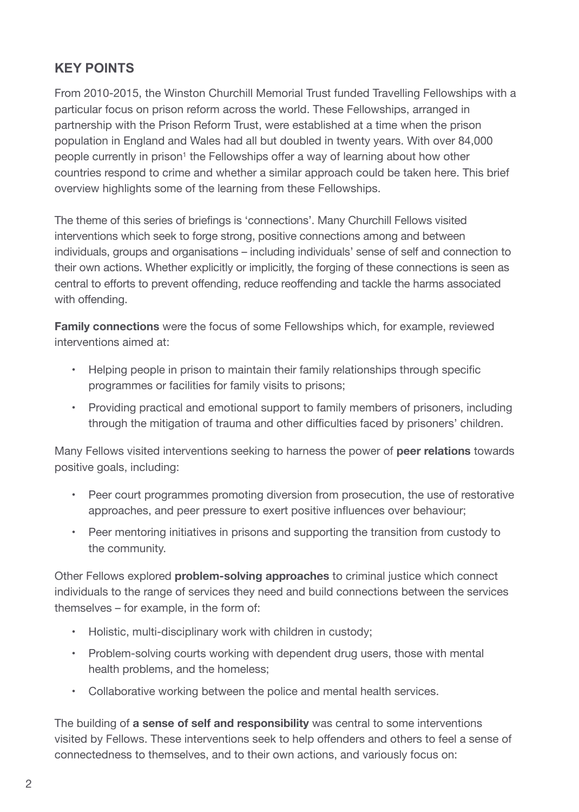# **KEY POINTS**

From 2010-2015, the Winston Churchill Memorial Trust funded Travelling Fellowships with a particular focus on prison reform across the world. These Fellowships, arranged in partnership with the Prison Reform Trust, were established at a time when the prison population in England and Wales had all but doubled in twenty years. With over 84,000 people currently in prison<sup>1</sup> the Fellowships offer a way of learning about how other countries respond to crime and whether a similar approach could be taken here. This brief overview highlights some of the learning from these Fellowships.

The theme of this series of briefings is 'connections'. Many Churchill Fellows visited interventions which seek to forge strong, positive connections among and between individuals, groups and organisations – including individuals' sense of self and connection to their own actions. Whether explicitly or implicitly, the forging of these connections is seen as central to efforts to prevent offending, reduce reoffending and tackle the harms associated with offending.

**Family connections** were the focus of some Fellowships which, for example, reviewed interventions aimed at:

- Helping people in prison to maintain their family relationships through specific programmes or facilities for family visits to prisons;
- Providing practical and emotional support to family members of prisoners, including through the mitigation of trauma and other difficulties faced by prisoners' children.

Many Fellows visited interventions seeking to harness the power of **peer relations** towards positive goals, including:

- Peer court programmes promoting diversion from prosecution, the use of restorative approaches, and peer pressure to exert positive influences over behaviour;
- Peer mentoring initiatives in prisons and supporting the transition from custody to the community.

Other Fellows explored **problem-solving approaches** to criminal justice which connect individuals to the range of services they need and build connections between the services themselves – for example, in the form of:

- Holistic, multi-disciplinary work with children in custody;
- Problem-solving courts working with dependent drug users, those with mental health problems, and the homeless;
- Collaborative working between the police and mental health services.

The building of **a sense of self and responsibility** was central to some interventions visited by Fellows. These interventions seek to help offenders and others to feel a sense of connectedness to themselves, and to their own actions, and variously focus on: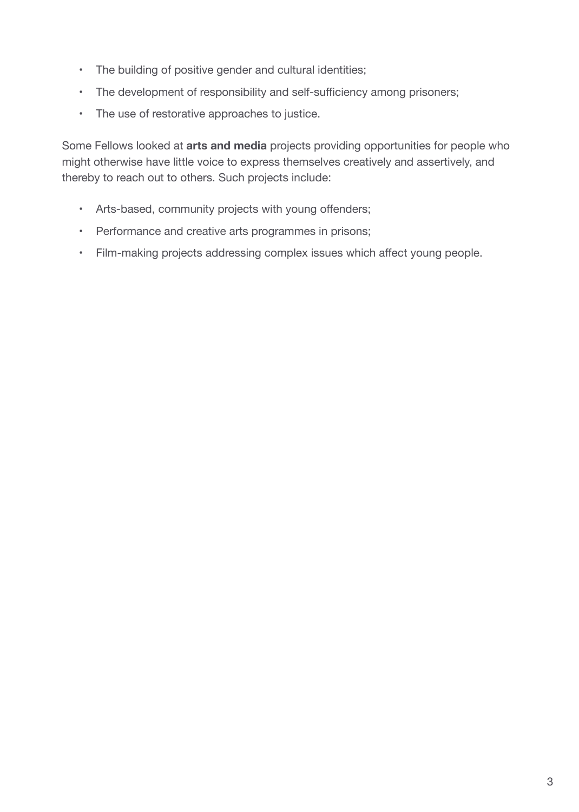- The building of positive gender and cultural identities;
- The development of responsibility and self-sufficiency among prisoners;
- The use of restorative approaches to justice.

Some Fellows looked at **arts and media** projects providing opportunities for people who might otherwise have little voice to express themselves creatively and assertively, and thereby to reach out to others. Such projects include:

- Arts-based, community projects with young offenders;
- Performance and creative arts programmes in prisons;
- Film-making projects addressing complex issues which affect young people.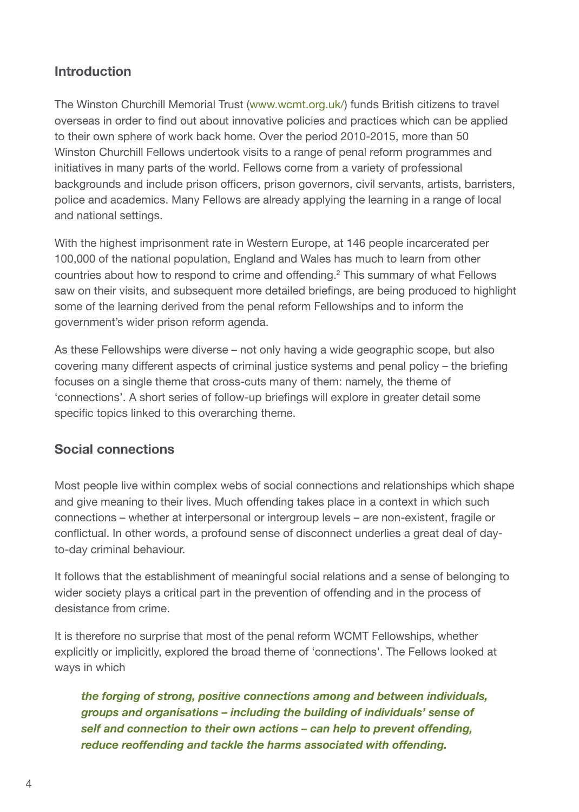# **Introduction**

The Winston Churchill Memorial Trust [\(www.wcmt.org.uk/\)](www.wcmt.org.uk) funds British citizens to travel overseas in order to find out about innovative policies and practices which can be applied to their own sphere of work back home. Over the period 2010-2015, more than 50 Winston Churchill Fellows undertook visits to a range of penal reform programmes and initiatives in many parts of the world. Fellows come from a variety of professional backgrounds and include prison officers, prison governors, civil servants, artists, barristers, police and academics. Many Fellows are already applying the learning in a range of local and national settings.

With the highest imprisonment rate in Western Europe, at 146 people incarcerated per 100,000 of the national population, England and Wales has much to learn from other countries about how to respond to crime and offending. <sup>2</sup> This summary of what Fellows saw on their visits, and subsequent more detailed briefings, are being produced to highlight some of the learning derived from the penal reform Fellowships and to inform the government's wider prison reform agenda.

As these Fellowships were diverse – not only having a wide geographic scope, but also covering many different aspects of criminal justice systems and penal policy – the briefing focuses on a single theme that cross-cuts many of them: namely, the theme of 'connections'. A short series of follow-up briefings will explore in greater detail some specific topics linked to this overarching theme.

# **Social connections**

Most people live within complex webs of social connections and relationships which shape and give meaning to their lives. Much offending takes place in a context in which such connections – whether at interpersonal or intergroup levels – are non-existent, fragile or conflictual. In other words, a profound sense of disconnect underlies a great deal of dayto-day criminal behaviour.

It follows that the establishment of meaningful social relations and a sense of belonging to wider society plays a critical part in the prevention of offending and in the process of desistance from crime.

It is therefore no surprise that most of the penal reform WCMT Fellowships, whether explicitly or implicitly, explored the broad theme of 'connections'. The Fellows looked at ways in which

*the forging of strong, positive connections among and between individuals, groups and organisations – including the building of individuals' sense of self and connection to their own actions – can help to prevent offending, reduce reoffending and tackle the harms associated with offending.*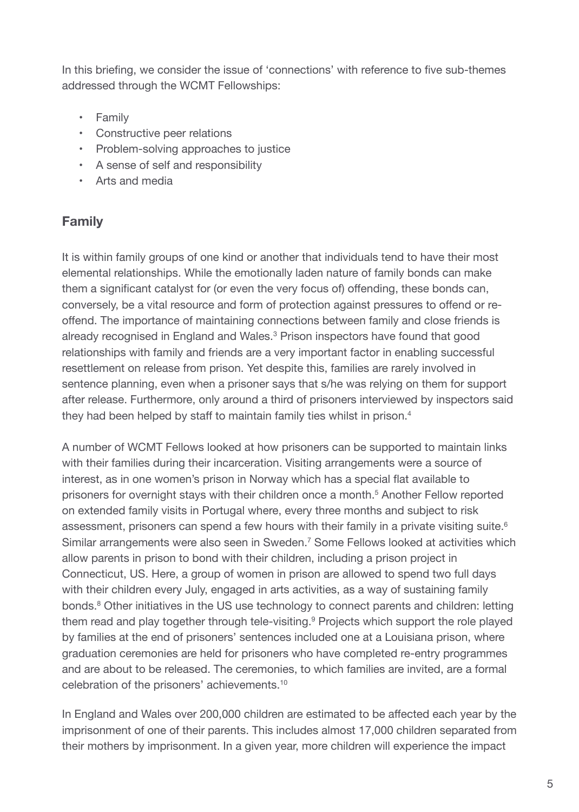In this briefing, we consider the issue of 'connections' with reference to five sub-themes addressed through the WCMT Fellowships:

- Family
- Constructive peer relations
- Problem-solving approaches to justice
- A sense of self and responsibility
- Arts and media

# **Family**

It is within family groups of one kind or another that individuals tend to have their most elemental relationships. While the emotionally laden nature of family bonds can make them a significant catalyst for (or even the very focus of) offending, these bonds can, conversely, be a vital resource and form of protection against pressures to offend or reoffend. The importance of maintaining connections between family and close friends is already recognised in England and Wales. <sup>3</sup> Prison inspectors have found that good relationships with family and friends are a very important factor in enabling successful resettlement on release from prison. Yet despite this, families are rarely involved in sentence planning, even when a prisoner says that s/he was relying on them for support after release. Furthermore, only around a third of prisoners interviewed by inspectors said they had been helped by staff to maintain family ties whilst in prison. 4

A number of WCMT Fellows looked at how prisoners can be supported to maintain links with their families during their incarceration. Visiting arrangements were a source of interest, as in one women's prison in Norway which has a special flat available to prisoners for overnight stays with their children once a month. <sup>5</sup> Another Fellow reported on extended family visits in Portugal where, every three months and subject to risk assessment, prisoners can spend a few hours with their family in a private visiting suite.<sup>6</sup> Similar arrangements were also seen in Sweden. <sup>7</sup> Some Fellows looked at activities which allow parents in prison to bond with their children, including a prison project in Connecticut, US. Here, a group of women in prison are allowed to spend two full days with their children every July, engaged in arts activities, as a way of sustaining family bonds. <sup>8</sup> Other initiatives in the US use technology to connect parents and children: letting them read and play together through tele-visiting. <sup>9</sup> Projects which support the role played by families at the end of prisoners' sentences included one at a Louisiana prison, where graduation ceremonies are held for prisoners who have completed re-entry programmes and are about to be released. The ceremonies, to which families are invited, are a formal celebration of the prisoners' achievements. 10

In England and Wales over 200,000 children are estimated to be affected each year by the imprisonment of one of their parents. This includes almost 17,000 children separated from their mothers by imprisonment. In a given year, more children will experience the impact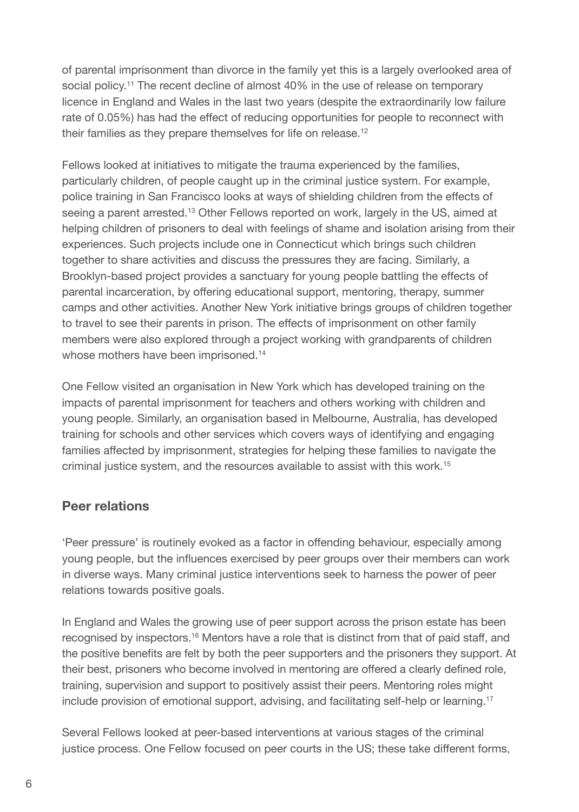of parental imprisonment than divorce in the family yet this is a largely overlooked area of social policy.<sup>11</sup> The recent decline of almost 40% in the use of release on temporary licence in England and Wales in the last two years (despite the extraordinarily low failure rate of 0.05%) has had the effect of reducing opportunities for people to reconnect with their families as they prepare themselves for life on release.<sup>12</sup>

Fellows looked at initiatives to mitigate the trauma experienced by the families, particularly children, of people caught up in the criminal justice system. For example, police training in San Francisco looks at ways of shielding children from the effects of seeing a parent arrested.<sup>13</sup> Other Fellows reported on work, largely in the US, aimed at helping children of prisoners to deal with feelings of shame and isolation arising from their experiences. Such projects include one in Connecticut which brings such children together to share activities and discuss the pressures they are facing. Similarly, a Brooklyn-based project provides a sanctuary for young people battling the effects of parental incarceration, by offering educational support, mentoring, therapy, summer camps and other activities. Another New York initiative brings groups of children together to travel to see their parents in prison. The effects of imprisonment on other family members were also explored through a project working with grandparents of children whose mothers have been imprisoned.<sup>14</sup>

One Fellow visited an organisation in New York which has developed training on the impacts of parental imprisonment for teachers and others working with children and young people. Similarly, an organisation based in Melbourne, Australia, has developed training for schools and other services which covers ways of identifying and engaging families affected by imprisonment, strategies for helping these families to navigate the criminal justice system, and the resources available to assist with this work. 15

# **Peer relations**

'Peer pressure' is routinely evoked as a factor in offending behaviour, especially among young people, but the influences exercised by peer groups over their members can work in diverse ways. Many criminal justice interventions seek to harness the power of peer relations towards positive goals.

In England and Wales the growing use of peer support across the prison estate has been recognised by inspectors.<sup>16</sup> Mentors have a role that is distinct from that of paid staff, and the positive benefits are felt by both the peer supporters and the prisoners they support. At their best, prisoners who become involved in mentoring are offered a clearly defined role, training, supervision and support to positively assist their peers. Mentoring roles might include provision of emotional support, advising, and facilitating self-help or learning. 17

Several Fellows looked at peer-based interventions at various stages of the criminal justice process. One Fellow focused on peer courts in the US; these take different forms,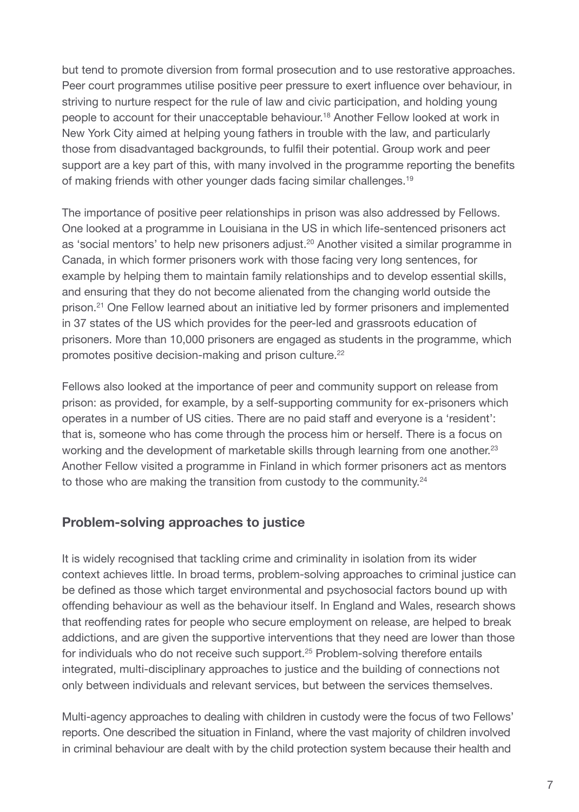but tend to promote diversion from formal prosecution and to use restorative approaches. Peer court programmes utilise positive peer pressure to exert influence over behaviour, in striving to nurture respect for the rule of law and civic participation, and holding young people to account for their unacceptable behaviour. <sup>18</sup> Another Fellow looked at work in New York City aimed at helping young fathers in trouble with the law, and particularly those from disadvantaged backgrounds, to fulfil their potential. Group work and peer support are a key part of this, with many involved in the programme reporting the benefits of making friends with other younger dads facing similar challenges.<sup>19</sup>

The importance of positive peer relationships in prison was also addressed by Fellows. One looked at a programme in Louisiana in the US in which life-sentenced prisoners act as 'social mentors' to help new prisoners adjust. <sup>20</sup> Another visited a similar programme in Canada, in which former prisoners work with those facing very long sentences, for example by helping them to maintain family relationships and to develop essential skills, and ensuring that they do not become alienated from the changing world outside the prison. <sup>21</sup> One Fellow learned about an initiative led by former prisoners and implemented in 37 states of the US which provides for the peer-led and grassroots education of prisoners. More than 10,000 prisoners are engaged as students in the programme, which promotes positive decision-making and prison culture.<sup>22</sup>

Fellows also looked at the importance of peer and community support on release from prison: as provided, for example, by a self-supporting community for ex-prisoners which operates in a number of US cities. There are no paid staff and everyone is a 'resident': that is, someone who has come through the process him or herself. There is a focus on working and the development of marketable skills through learning from one another.<sup>23</sup> Another Fellow visited a programme in Finland in which former prisoners act as mentors to those who are making the transition from custody to the community.<sup>24</sup>

### **Problem-solving approaches to justice**

It is widely recognised that tackling crime and criminality in isolation from its wider context achieves little. In broad terms, problem-solving approaches to criminal justice can be defined as those which target environmental and psychosocial factors bound up with offending behaviour as well as the behaviour itself. In England and Wales, research shows that reoffending rates for people who secure employment on release, are helped to break addictions, and are given the supportive interventions that they need are lower than those for individuals who do not receive such support.<sup>25</sup> Problem-solving therefore entails integrated, multi-disciplinary approaches to justice and the building of connections not only between individuals and relevant services, but between the services themselves.

Multi-agency approaches to dealing with children in custody were the focus of two Fellows' reports. One described the situation in Finland, where the vast majority of children involved in criminal behaviour are dealt with by the child protection system because their health and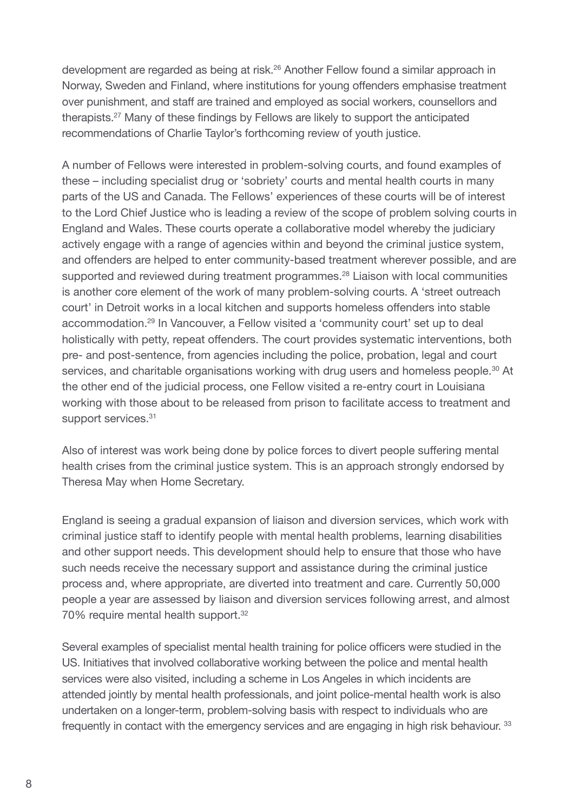development are regarded as being at risk. <sup>26</sup> Another Fellow found a similar approach in Norway, Sweden and Finland, where institutions for young offenders emphasise treatment over punishment, and staff are trained and employed as social workers, counsellors and therapists. <sup>27</sup> Many of these findings by Fellows are likely to support the anticipated recommendations of Charlie Taylor's forthcoming review of youth justice.

A number of Fellows were interested in problem-solving courts, and found examples of these – including specialist drug or 'sobriety' courts and mental health courts in many parts of the US and Canada. The Fellows' experiences of these courts will be of interest to the Lord Chief Justice who is leading a review of the scope of problem solving courts in England and Wales. These courts operate a collaborative model whereby the judiciary actively engage with a range of agencies within and beyond the criminal justice system, and offenders are helped to enter community-based treatment wherever possible, and are supported and reviewed during treatment programmes.<sup>28</sup> Liaison with local communities is another core element of the work of many problem-solving courts. A 'street outreach court' in Detroit works in a local kitchen and supports homeless offenders into stable accommodation. <sup>29</sup> In Vancouver, a Fellow visited a 'community court' set up to deal holistically with petty, repeat offenders. The court provides systematic interventions, both pre- and post-sentence, from agencies including the police, probation, legal and court services, and charitable organisations working with drug users and homeless people.<sup>30</sup> At the other end of the judicial process, one Fellow visited a re-entry court in Louisiana working with those about to be released from prison to facilitate access to treatment and support services.<sup>31</sup>

Also of interest was work being done by police forces to divert people suffering mental health crises from the criminal justice system. This is an approach strongly endorsed by Theresa May when Home Secretary.

England is seeing a gradual expansion of liaison and diversion services, which work with criminal justice staff to identify people with mental health problems, learning disabilities and other support needs. This development should help to ensure that those who have such needs receive the necessary support and assistance during the criminal justice process and, where appropriate, are diverted into treatment and care. Currently 50,000 people a year are assessed by liaison and diversion services following arrest, and almost 70% require mental health support.<sup>32</sup>

Several examples of specialist mental health training for police officers were studied in the US. Initiatives that involved collaborative working between the police and mental health services were also visited, including a scheme in Los Angeles in which incidents are attended jointly by mental health professionals, and joint police-mental health work is also undertaken on a longer-term, problem-solving basis with respect to individuals who are frequently in contact with the emergency services and are engaging in high risk behaviour. 33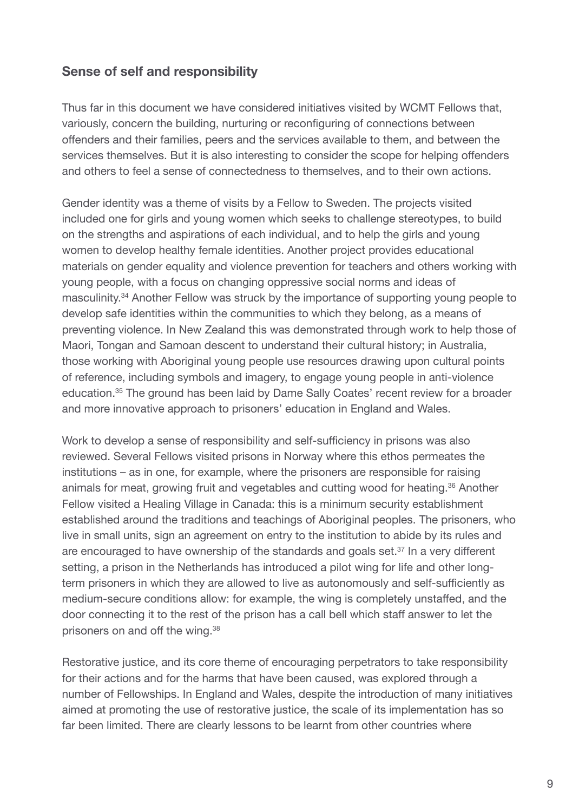# **Sense of self and responsibility**

Thus far in this document we have considered initiatives visited by WCMT Fellows that, variously, concern the building, nurturing or reconfiguring of connections between offenders and their families, peers and the services available to them, and between the services themselves. But it is also interesting to consider the scope for helping offenders and others to feel a sense of connectedness to themselves, and to their own actions.

Gender identity was a theme of visits by a Fellow to Sweden. The projects visited included one for girls and young women which seeks to challenge stereotypes, to build on the strengths and aspirations of each individual, and to help the girls and young women to develop healthy female identities. Another project provides educational materials on gender equality and violence prevention for teachers and others working with young people, with a focus on changing oppressive social norms and ideas of masculinity. <sup>34</sup> Another Fellow was struck by the importance of supporting young people to develop safe identities within the communities to which they belong, as a means of preventing violence. In New Zealand this was demonstrated through work to help those of Maori, Tongan and Samoan descent to understand their cultural history; in Australia, those working with Aboriginal young people use resources drawing upon cultural points of reference, including symbols and imagery, to engage young people in anti-violence education. <sup>35</sup> The ground has been laid by Dame Sally Coates' recent review for a broader and more innovative approach to prisoners' education in England and Wales.

Work to develop a sense of responsibility and self-sufficiency in prisons was also reviewed. Several Fellows visited prisons in Norway where this ethos permeates the institutions – as in one, for example, where the prisoners are responsible for raising animals for meat, growing fruit and vegetables and cutting wood for heating. <sup>36</sup> Another Fellow visited a Healing Village in Canada: this is a minimum security establishment established around the traditions and teachings of Aboriginal peoples. The prisoners, who live in small units, sign an agreement on entry to the institution to abide by its rules and are encouraged to have ownership of the standards and goals set.<sup>37</sup> In a very different setting, a prison in the Netherlands has introduced a pilot wing for life and other longterm prisoners in which they are allowed to live as autonomously and self-sufficiently as medium-secure conditions allow: for example, the wing is completely unstaffed, and the door connecting it to the rest of the prison has a call bell which staff answer to let the prisoners on and off the wing.<sup>38</sup>

Restorative justice, and its core theme of encouraging perpetrators to take responsibility for their actions and for the harms that have been caused, was explored through a number of Fellowships. In England and Wales, despite the introduction of many initiatives aimed at promoting the use of restorative justice, the scale of its implementation has so far been limited. There are clearly lessons to be learnt from other countries where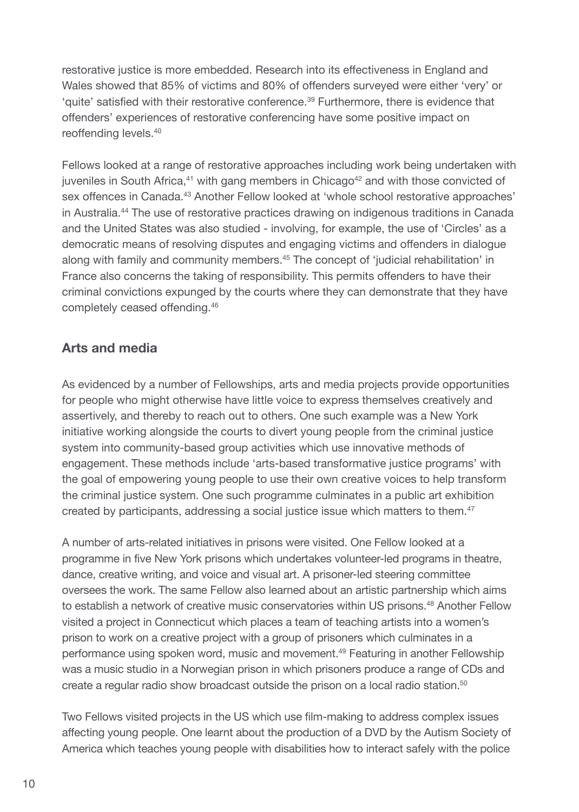restorative justice is more embedded. Research into its effectiveness in England and Wales showed that 85% of victims and 80% of offenders surveyed were either 'very' or 'quite' satisfied with their restorative conference. <sup>39</sup> Furthermore, there is evidence that offenders' experiences of restorative conferencing have some positive impact on reoffending levels. 40

Fellows looked at a range of restorative approaches including work being undertaken with juveniles in South Africa,<sup>41</sup> with gang members in Chicago<sup>42</sup> and with those convicted of sex offences in Canada. <sup>43</sup> Another Fellow looked at 'whole school restorative approaches' in Australia. <sup>44</sup> The use of restorative practices drawing on indigenous traditions in Canada and the United States was also studied - involving, for example, the use of 'Circles' as a democratic means of resolving disputes and engaging victims and offenders in dialogue along with family and community members. <sup>45</sup> The concept of 'judicial rehabilitation' in France also concerns the taking of responsibility. This permits offenders to have their criminal convictions expunged by the courts where they can demonstrate that they have completely ceased offending. 46

# **Arts and media**

As evidenced by a number of Fellowships, arts and media projects provide opportunities for people who might otherwise have little voice to express themselves creatively and assertively, and thereby to reach out to others. One such example was a New York initiative working alongside the courts to divert young people from the criminal justice system into community-based group activities which use innovative methods of engagement. These methods include 'arts-based transformative justice programs' with the goal of empowering young people to use their own creative voices to help transform the criminal justice system. One such programme culminates in a public art exhibition created by participants, addressing a social justice issue which matters to them. 47

A number of arts-related initiatives in prisons were visited. One Fellow looked at a programme in five New York prisons which undertakes volunteer-led programs in theatre, dance, creative writing, and voice and visual art. A prisoner-led steering committee oversees the work. The same Fellow also learned about an artistic partnership which aims to establish a network of creative music conservatories within US prisons. <sup>48</sup> Another Fellow visited a project in Connecticut which places a team of teaching artists into a women's prison to work on a creative project with a group of prisoners which culminates in a performance using spoken word, music and movement. <sup>49</sup> Featuring in another Fellowship was a music studio in a Norwegian prison in which prisoners produce a range of CDs and create a regular radio show broadcast outside the prison on a local radio station.<sup>50</sup>

Two Fellows visited projects in the US which use film-making to address complex issues affecting young people. One learnt about the production of a DVD by the Autism Society of America which teaches young people with disabilities how to interact safely with the police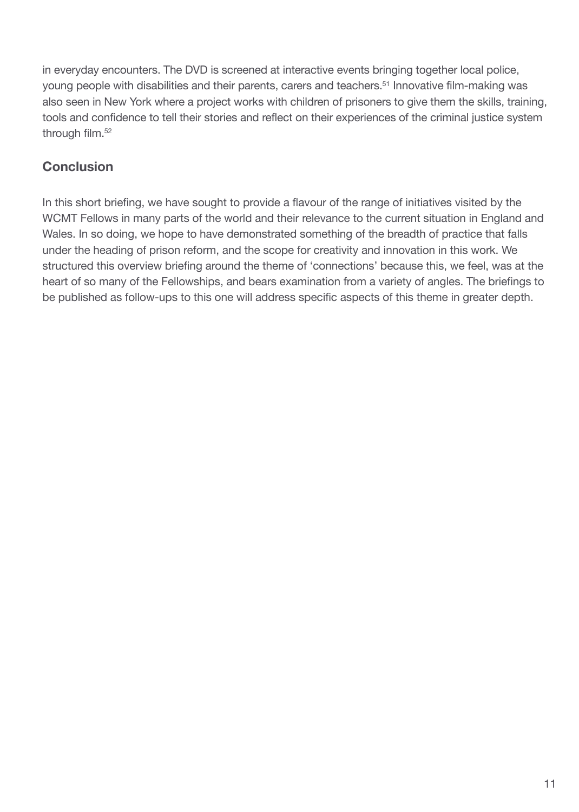in everyday encounters. The DVD is screened at interactive events bringing together local police, young people with disabilities and their parents, carers and teachers. <sup>51</sup> Innovative film-making was also seen in New York where a project works with children of prisoners to give them the skills, training, tools and confidence to tell their stories and reflect on their experiences of the criminal justice system through film. 52

# **Conclusion**

In this short briefing, we have sought to provide a flavour of the range of initiatives visited by the WCMT Fellows in many parts of the world and their relevance to the current situation in England and Wales. In so doing, we hope to have demonstrated something of the breadth of practice that falls under the heading of prison reform, and the scope for creativity and innovation in this work. We structured this overview briefing around the theme of 'connections' because this, we feel, was at the heart of so many of the Fellowships, and bears examination from a variety of angles. The briefings to be published as follow-ups to this one will address specific aspects of this theme in greater depth.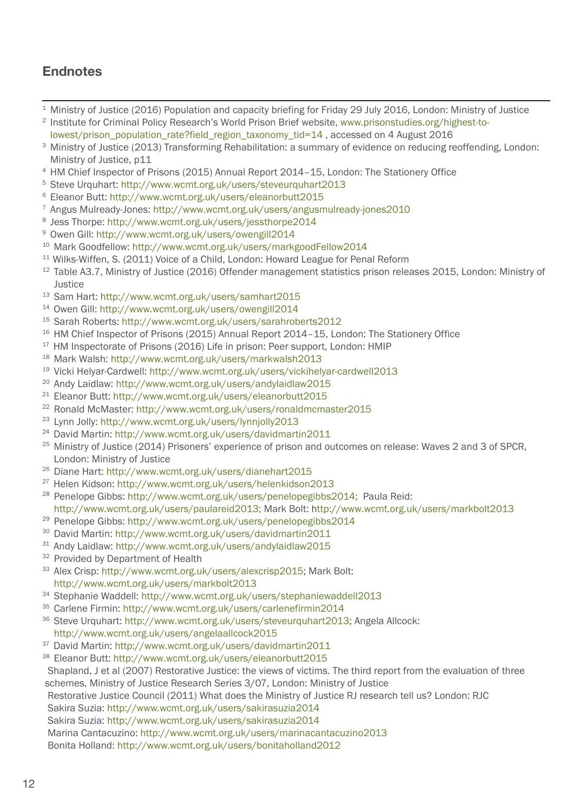# **Endnotes**

- Ministry of Justice (2016) Population and capacity briefing for Friday 29 July 2016, London: Ministry of Justice
- [In](www.prisonstudies.org/highest-to-lowest/prison_population_rate?field_region_taxonomy_tid=14)stitute for Criminal Policy Research's World Prison Brief website, [www.prisonstudies.org/highest-to-](www.prisonstudies.org/highest-to-lowest/prison_population_rate?field_region_taxonomy_tid=14)lowest/prison\_population\_rate?field\_region\_taxonomy\_tid=1[4](www.prisonstudies.org/highest-to-lowest/prison_population_rate?field_region_taxonomy_tid=14) , accessed on 4 August 2016
- <sup>3</sup> Ministry of Justice (2013) Transforming Rehabilitation: a summary of evidence on reducing reoffending, London: Ministry of Justice, p11
- HM Chief Inspector of Prisons (2015) Annual Report 2014–15, London: The Stationery Office
- Steve Urquhart: <http://www.wcmt.org.uk/users/steveurquhart2013>
- Eleanor Butt: <http://www.wcmt.org.uk/users/eleanorbutt2015>
- Angus Mulready-Jones: <http://www.wcmt.org.uk/users/angusmulready-jones2010>
- Jess Thorpe: [http://www.wcmt.org.uk/users/jessthorpe2014](http://www.wcmt.org.uk/users/jessthorpe2014  )
- Owen Gill: http://www.wcmt.org.uk/users/owengill201[4](http://www.wcmt.org.uk/users/markgoodfellow2014)
- 0 Mark Goodfellow: http://www.wcmt.org.uk/users/markgoodFellow201[4](http://www.wcmt.org.uk/users/markgoodfellow2014)
- Wilks-Wiffen, S. (2011) Voice of a Child, London: Howard League for Penal Reform
- <sup>12</sup> Table A3.7, Ministry of Justice (2016) Offender management statistics prison releases 2015, London: Ministry of Justice
- Sam Hart: <http://www.wcmt.org.uk/users/samhart2015>
- Owen Gill: <http://www.wcmt.org.uk/users/owengill2014>
- Sarah Roberts: <http://www.wcmt.org.uk/users/sarahroberts2012>
- <sup>16</sup> HM Chief Inspector of Prisons (2015) Annual Report 2014-15, London: The Stationery Office
- <sup>17</sup> HM Inspectorate of Prisons (2016) Life in prison: Peer support, London: HMIP
- Mark Walsh: <http://www.wcmt.org.uk/users/markwalsh2013>
- Vicki Helyar-Cardwell: <http://www.wcmt.org.uk/users/vickihelyar-cardwell2013>
- Andy Laidlaw: <http://www.wcmt.org.uk/users/andylaidlaw2015>
- Eleanor Butt: <http://www.wcmt.org.uk/users/eleanorbutt2015>
- Ronald McMaster: <http://www.wcmt.org.uk/users/ronaldmcmaster2015>
- Lynn Jolly: <http://www.wcmt.org.uk/users/lynnjolly2013>
- David Martin: <http://www.wcmt.org.uk/users/davidmartin2011>
- <sup>25</sup> Ministry of Justice (2014) Prisoners' experience of prison and outcomes on release: Waves 2 and 3 of SPCR, London: Ministry of Justice
- Diane Hart: <http://www.wcmt.org.uk/users/dianehart2015>
- Helen Kidson: [http://www.wcmt.org.uk/users/helenkidson2013](http://www.wcmt.org.uk/users/helencollins2014)
- Penelope Gibbs: [http://www.wcmt.org.uk/users/penelopegibbs2014;](http://www.wcmt.org.uk/users/penelopegibbs2014) Paula Reid: [http://www.wcmt.org.uk/users/paulareid2013;](http://www.wcmt.org.uk/users/paulareid2013) Mark Bolt: <http://www.wcmt.org.uk/users/markbolt2013>
- Penelope Gibbs: <http://www.wcmt.org.uk/users/penelopegibbs2014>
- David Martin: <http://www.wcmt.org.uk/users/davidmartin2011>
- Andy Laidlaw: <http://www.wcmt.org.uk/users/andylaidlaw2015>
- <sup>32</sup> Provided by Department of Health
- Alex Crisp: [http://www.wcmt.org.uk/users/alexcrisp2015;](http://www.wcmt.org.uk/users/alexcrisp2015) Mark Bolt: <http://www.wcmt.org.uk/users/markbolt2013>
- Stephanie Waddell: <http://www.wcmt.org.uk/users/stephaniewaddell2013>
- 5 Carlene Firmin: http://www.wcmt.org.uk/users/carlenefirmin201[4](http://www.wcmt.org.uk/users/angelaallcock2015)
- 6 Steve Urquhart[:](http://www.wcmt.org.uk/users/angelaallcock2015) http://www.wcmt.org.uk/users/steveurquhart2013; Angela Allcock: <http://www.wcmt.org.uk/users/angelaallcock2015>
- David Martin: <http://www.wcmt.org.uk/users/davidmartin2011>
- Eleanor Butt: <http://www.wcmt.org.uk/users/eleanorbutt2015>

Shapland, J et al (2007) Restorative Justice: the views of victims. The third report from the evaluation of three schemes, Ministry of Justice Research Series 3/07, London: Ministry of Justice

Restorative Justice Council (2011) What does the Ministry of Justice RJ research tell us? London: RJC

Sakira Suzia: <http://www.wcmt.org.uk/users/sakirasuzia2014>

Sakira Suzia: <http://www.wcmt.org.uk/users/sakirasuzia2014>

Marina Cantacuzino: <http://www.wcmt.org.uk/users/marinacantacuzino2013>

Bonita Holland: <http://www.wcmt.org.uk/users/bonitaholland2012>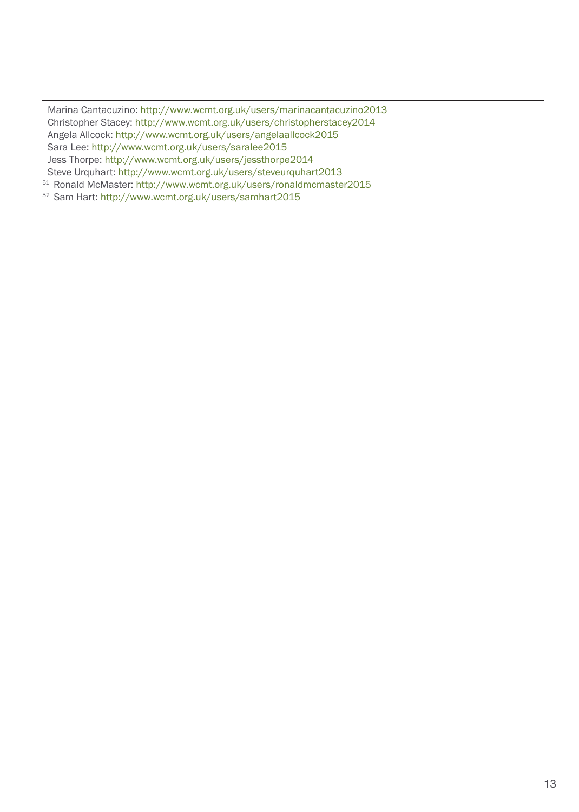Marina Cantacuzino: <http://www.wcmt.org.uk/users/marinacantacuzino2013> Christopher Stacey: <http://www.wcmt.org.uk/users/christopherstacey2014> Angela Allcock: http://www.wcmt.org.uk/users/angelaallcock2015 Sara Lee: http://www.wcmt.org.uk/users/saralee2015 Jess Thorpe: http://www.wcmt.org.uk/users/jessthorpe2014 Steve Urquhart: http://www.wcmt.org.uk/users/steveurquhart2013

<sup>51</sup> Ronald McMaster: http://www.wcmt.org.uk/users/ronaldmcmaster2015

<sup>52</sup> Sam Hart: http://www.wcmt.org.uk/users/samhart2015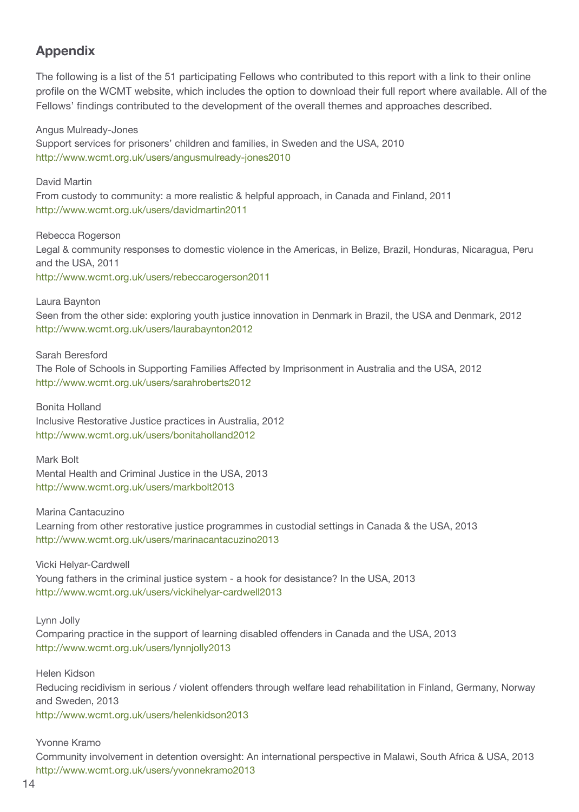# **Appendix**

The following is a list of the 51 participating Fellows who contributed to this report with a link to their online profile on the WCMT website, which includes the option to download their full report where available. All of the Fellows' findings contributed to the development of the overall themes and approaches described.

Angus Mulready-Jones Support services for prisoners' children and families, in Sweden and the USA, 2010 http://www.wcmt.org.uk/users/angusmulready-jones2010

David Martin From custody to community: a more realistic & helpful approach, in Canada and Finland, 2011 http://www.wcmt.org.uk/users/davidmartin2011

Rebecca Rogerson Legal & community responses to domestic violence in the Americas, in Belize, Brazil, Honduras, Nicaragua, Peru and the USA, 2011 http://www.wcmt.org.uk/users/rebeccarogerson2011

Laura Baynton

Seen from the other side: exploring youth justice innovation in Denmark in Brazil, the USA and Denmark, 2012 http://www.wcmt.org.uk/users/laurabaynton2012

Sarah Beresford

The Role of Schools in Supporting Families Affected by Imprisonment in Australia and the USA, 2012 http://www.wcmt.org.uk/users/sarahroberts2012

Bonita Holland Inclusive Restorative Justice practices in Australia, 2012 http://www.wcmt.org.uk/users/bonitaholland2012

Mark Bolt Mental Health and Criminal Justice in the USA, 2013 http://www.wcmt.org.uk/users/markbolt2013

Marina Cantacuzino Learning from other restorative justice programmes in custodial settings in Canada & the USA, 2013 http://www.wcmt.org.uk/users/marinacantacuzino2013

Vicki Helyar-Cardwell Young fathers in the criminal justice system - a hook for desistance? In the USA, 2013 http://www.wcmt.org.uk/users/vickihelyar-cardwell2013

Lynn Jolly

Comparing practice in the support of learning disabled offenders in Canada and the USA, 2013 http://www.wcmt.org.uk/users/lynnjolly2013

Helen Kidson Reducing recidivism in serious / violent offenders through welfare lead rehabilitation in Finland, Germany, Norway and Sweden, 2013 http://www.wcmt.org.uk/users/helenkidson2013

Yvonne Kramo

Community involvement in detention oversight: An international perspective in Malawi, South Africa & USA, 2013 http://www.wcmt.org.uk/users/yvonnekramo2013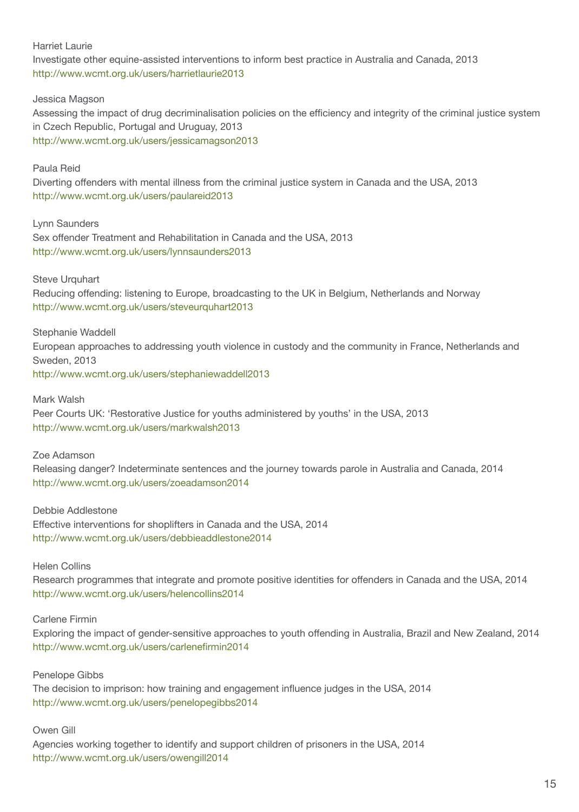Harriet Laurie

Investigate other equine-assisted interventions to inform best practice in Australia and Canada, 2013 http://www.wcmt.org.uk/users/harrietlaurie2013

Jessica Magson

Assessing the impact of drug decriminalisation policies on the efficiency and integrity of the criminal justice system in Czech Republic, Portugal and Uruguay, 2013 http://www.wcmt.org.uk/users/jessicamagson2013

Paula Reid

Diverting offenders with mental illness from the criminal justice system in Canada and the USA, 2013 http://www.wcmt.org.uk/users/paulareid2013

Lynn Saunders Sex offender Treatment and Rehabilitation in Canada and the USA, 2013 http://www.wcmt.org.uk/users/lynnsaunders2013

Steve Urquhart

Reducing offending: listening to Europe, broadcasting to the UK in Belgium, Netherlands and Norway http://www.wcmt.org.uk/users/steveurquhart2013

Stephanie Waddell

European approaches to addressing youth violence in custody and the community in France, Netherlands and Sweden, 2013

http://www.wcmt.org.uk/users/stephaniewaddell2013

Mark Walsh

Peer Courts UK: 'Restorative Justice for youths administered by youths' in the USA, 2013 http://www.wcmt.org.uk/users/markwalsh2013

Zoe Adamson

Releasing danger? Indeterminate sentences and the journey towards parole in Australia and Canada, 2014 http://www.wcmt.org.uk/users/zoeadamson2014

Debbie Addlestone Effective interventions for shoplifters in Canada and the USA, 2014 http://www.wcmt.org.uk/users/debbieaddlestone2014

Helen Collins

Research programmes that integrate and promote positive identities for offenders in Canada and the USA, 2014 http://www.wcmt.org.uk/users/helencollins2014

Carlene Firmin

Exploring the impact of gender-sensitive approaches to youth offending in Australia, Brazil and New Zealand, 2014 http://www.wcmt.org.uk/users/carlenefirmin2014

Penelope Gibbs

The decision to imprison: how training and engagement influence judges in the USA, 2014 http://www.wcmt.org.uk/users/penelopegibbs2014

Owen Gill

Agencies working together to identify and support children of prisoners in the USA, 2014 http://www.wcmt.org.uk/users/owengill2014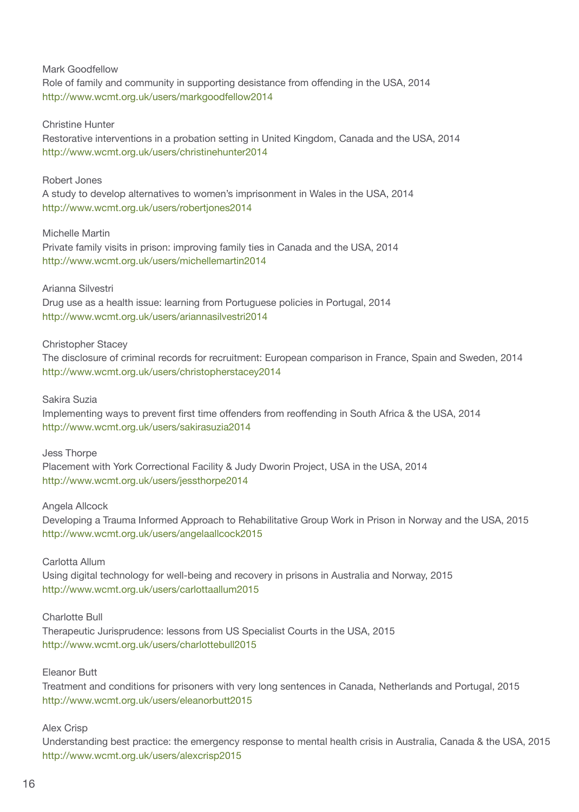#### Mark Goodfellow

Role of family and community in supporting desistance from offending in the USA, 2014 http://www.wcmt.org.uk/users/markgoodfellow2014

#### Christine Hunter

Restorative interventions in a probation setting in United Kingdom, Canada and the USA, 2014 http://www.wcmt.org.uk/users/christinehunter2014

#### Robert Jones

A study to develop alternatives to women's imprisonment in Wales in the USA, 2014 http://www.wcmt.org.uk/users/robertjones2014

#### Michelle Martin

Private family visits in prison: improving family ties in Canada and the USA, 2014 http://www.wcmt.org.uk/users/michellemartin2014

#### Arianna Silvestri

Drug use as a health issue: learning from Portuguese policies in Portugal, 2014 http://www.wcmt.org.uk/users/ariannasilvestri2014

#### Christopher Stacey

The disclosure of criminal records for recruitment: European comparison in France, Spain and Sweden, 2014 http://www.wcmt.org.uk/users/christopherstacey2014

#### Sakira Suzia

Implementing ways to prevent first time offenders from reoffending in South Africa & the USA, 2014 http://www.wcmt.org.uk/users/sakirasuzia2014

#### Jess Thorpe

Placement with York Correctional Facility & Judy Dworin Project, USA in the USA, 2014 http://www.wcmt.org.uk/users/jessthorpe2014

#### Angela Allcock

Developing a Trauma Informed Approach to Rehabilitative Group Work in Prison in Norway and the USA, 2015 http://www.wcmt.org.uk/users/angelaallcock2015

#### Carlotta Allum

Using digital technology for well-being and recovery in prisons in Australia and Norway, 2015 http://www.wcmt.org.uk/users/carlottaallum2015

#### Charlotte Bull

Therapeutic Jurisprudence: lessons from US Specialist Courts in the USA, 2015 http://www.wcmt.org.uk/users/charlottebull2015

#### Eleanor Butt

Treatment and conditions for prisoners with very long sentences in Canada, Netherlands and Portugal, 2015 http://www.wcmt.org.uk/users/eleanorbutt2015

#### Alex Crisp

Understanding best practice: the emergency response to mental health crisis in Australia, Canada & the USA, 2015 http://www.wcmt.org.uk/users/alexcrisp2015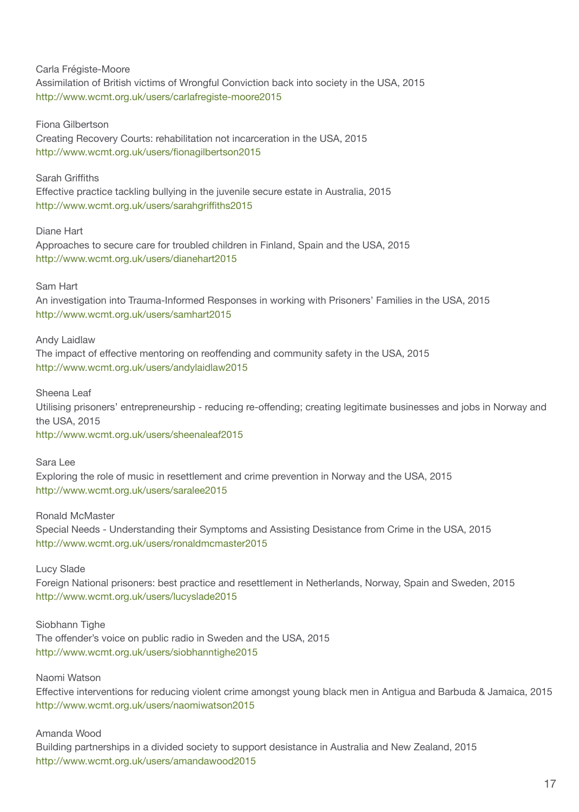Carla Frégiste-Moore Assimilation of British victims of Wrongful Conviction back into society in the USA, 2015 http://www.wcmt.org.uk/users/carlafregiste-moore2015

Fiona Gilbertson

Creating Recovery Courts: rehabilitation not incarceration in the USA, 2015 http://www.wcmt.org.uk/users/fionagilbertson2015

Sarah Griffiths

Effective practice tackling bullying in the juvenile secure estate in Australia, 2015 http://www.wcmt.org.uk/users/sarahgriffiths2015

Diane Hart

Approaches to secure care for troubled children in Finland, Spain and the USA, 2015 http://www.wcmt.org.uk/users/dianehart2015

Sam Hart

An investigation into Trauma-Informed Responses in working with Prisoners' Families in the USA, 2015 http://www.wcmt.org.uk/users/samhart2015

Andy Laidlaw

The impact of effective mentoring on reoffending and community safety in the USA, 2015 http://www.wcmt.org.uk/users/andylaidlaw2015

Sheena Leaf

Utilising prisoners' entrepreneurship - reducing re-offending; creating legitimate businesses and jobs in Norway and the USA, 2015

http://www.wcmt.org.uk/users/sheenaleaf2015

Sara Lee Exploring the role of music in resettlement and crime prevention in Norway and the USA, 2015 http://www.wcmt.org.uk/users/saralee2015

Ronald McMaster Special Needs - Understanding their Symptoms and Assisting Desistance from Crime in the USA, 2015 http://www.wcmt.org.uk/users/ronaldmcmaster2015

Lucy Slade

Foreign National prisoners: best practice and resettlement in Netherlands, Norway, Spain and Sweden, 2015 http://www.wcmt.org.uk/users/lucyslade2015

Siobhann Tighe The offender's voice on public radio in Sweden and the USA, 2015 http://www.wcmt.org.uk/users/siobhanntighe2015

Naomi Watson

Effective interventions for reducing violent crime amongst young black men in Antigua and Barbuda & Jamaica, 2015 http://www.wcmt.org.uk/users/naomiwatson2015

Amanda Wood

Building partnerships in a divided society to support desistance in Australia and New Zealand, 2015 http://www.wcmt.org.uk/users/amandawood2015